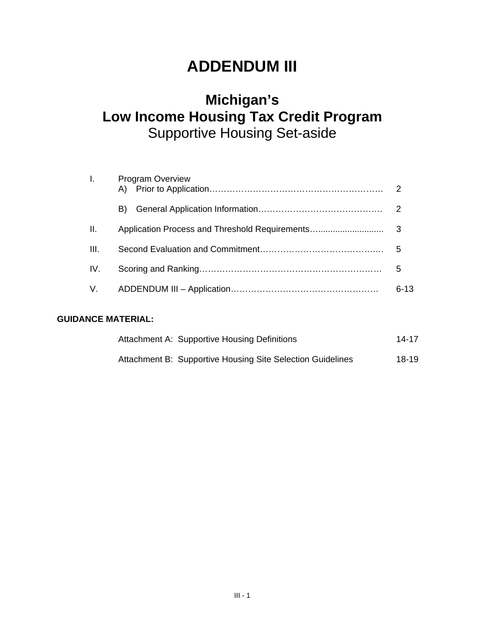# **ADDENDUM III**

# **Michigan's Low Income Housing Tax Credit Program**  Supportive Housing Set-aside

| $\mathbf{L}$    | <b>Program Overview</b> |          |
|-----------------|-------------------------|----------|
|                 | B).                     |          |
| $\mathbf{II}$ . |                         |          |
| HI.             |                         |          |
| IV.             |                         | 5        |
|                 |                         | $6 - 13$ |

# **GUIDANCE MATERIAL:**

| Attachment A: Supportive Housing Definitions               | 14-17 |
|------------------------------------------------------------|-------|
| Attachment B: Supportive Housing Site Selection Guidelines | 18-19 |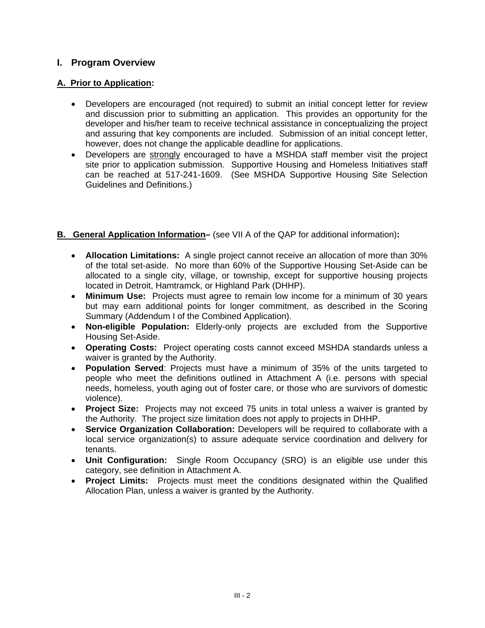# **I. Program Overview**

# **A. Prior to Application:**

- Developers are encouraged (not required) to submit an initial concept letter for review and discussion prior to submitting an application. This provides an opportunity for the developer and his/her team to receive technical assistance in conceptualizing the project and assuring that key components are included. Submission of an initial concept letter, however, does not change the applicable deadline for applications.
- Developers are strongly encouraged to have a MSHDA staff member visit the project site prior to application submission. Supportive Housing and Homeless Initiatives staff can be reached at 517-241-1609. (See MSHDA Supportive Housing Site Selection Guidelines and Definitions.)

# **B. General Application Information–** (see VII A of the QAP for additional information)**:**

- **Allocation Limitations:** A single project cannot receive an allocation of more than 30% of the total set-aside. No more than 60% of the Supportive Housing Set-Aside can be allocated to a single city, village, or township, except for supportive housing projects located in Detroit, Hamtramck, or Highland Park (DHHP).
- **Minimum Use:** Projects must agree to remain low income for a minimum of 30 years but may earn additional points for longer commitment, as described in the Scoring Summary (Addendum I of the Combined Application).
- **Non-eligible Population:** Elderly-only projects are excluded from the Supportive Housing Set-Aside.
- **Operating Costs:** Project operating costs cannot exceed MSHDA standards unless a waiver is granted by the Authority.
- **Population Served**: Projects must have a minimum of 35% of the units targeted to people who meet the definitions outlined in Attachment A (i.e. persons with special needs, homeless, youth aging out of foster care, or those who are survivors of domestic violence).
- **Project Size:** Projects may not exceed 75 units in total unless a waiver is granted by the Authority. The project size limitation does not apply to projects in DHHP.
- **Service Organization Collaboration:** Developers will be required to collaborate with a local service organization(s) to assure adequate service coordination and delivery for tenants.
- **Unit Configuration:** Single Room Occupancy (SRO) is an eligible use under this category, see definition in Attachment A.
- **Project Limits:** Projects must meet the conditions designated within the Qualified Allocation Plan, unless a waiver is granted by the Authority.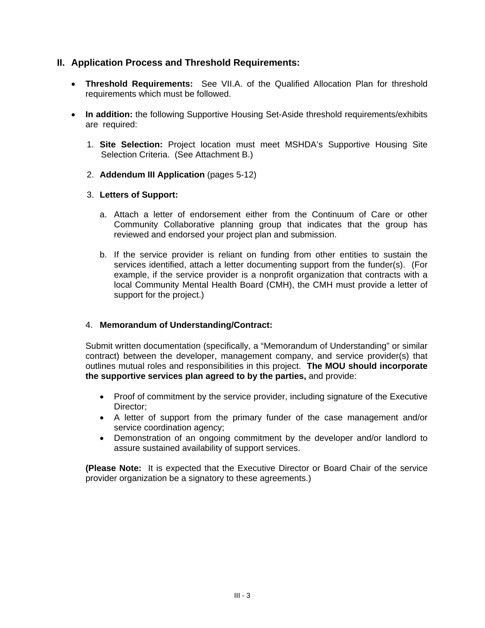# **II. Application Process and Threshold Requirements:**

- **Threshold Requirements:** See VII.A. of the Qualified Allocation Plan for threshold requirements which must be followed.
- **In addition:** the following Supportive Housing Set-Aside threshold requirements/exhibits are required:
	- 1. **Site Selection:** Project location must meet MSHDA's Supportive Housing Site Selection Criteria. (See Attachment B.)
	- 2. **Addendum III Application** (pages 5-12)
	- 3. **Letters of Support:** 
		- a. Attach a letter of endorsement either from the Continuum of Care or other Community Collaborative planning group that indicates that the group has reviewed and endorsed your project plan and submission.
		- b. If the service provider is reliant on funding from other entities to sustain the services identified, attach a letter documenting support from the funder(s). (For example, if the service provider is a nonprofit organization that contracts with a local Community Mental Health Board (CMH), the CMH must provide a letter of support for the project.)

# 4. **Memorandum of Understanding/Contract:**

Submit written documentation (specifically, a "Memorandum of Understanding" or similar contract) between the developer, management company, and service provider(s) that outlines mutual roles and responsibilities in this project. **The MOU should incorporate the supportive services plan agreed to by the parties,** and provide:

- Proof of commitment by the service provider, including signature of the Executive Director;
- A letter of support from the primary funder of the case management and/or service coordination agency;
- Demonstration of an ongoing commitment by the developer and/or landlord to assure sustained availability of support services.

**(Please Note:** It is expected that the Executive Director or Board Chair of the service provider organization be a signatory to these agreements.)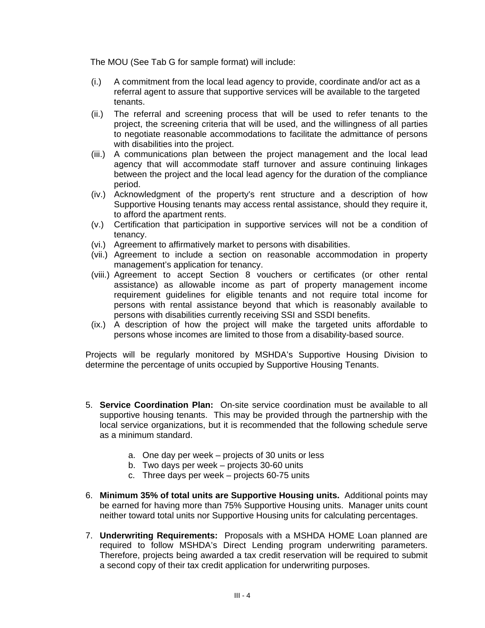The MOU (See Tab G for sample format) will include:

- (i.) A commitment from the local lead agency to provide, coordinate and/or act as a referral agent to assure that supportive services will be available to the targeted tenants.
- (ii.) The referral and screening process that will be used to refer tenants to the project, the screening criteria that will be used, and the willingness of all parties to negotiate reasonable accommodations to facilitate the admittance of persons with disabilities into the project.
- (iii.) A communications plan between the project management and the local lead agency that will accommodate staff turnover and assure continuing linkages between the project and the local lead agency for the duration of the compliance period.
- (iv.) Acknowledgment of the property's rent structure and a description of how Supportive Housing tenants may access rental assistance, should they require it, to afford the apartment rents.
- (v.) Certification that participation in supportive services will not be a condition of tenancy.
- (vi.) Agreement to affirmatively market to persons with disabilities.
- (vii.) Agreement to include a section on reasonable accommodation in property management's application for tenancy.
- (viii.) Agreement to accept Section 8 vouchers or certificates (or other rental assistance) as allowable income as part of property management income requirement guidelines for eligible tenants and not require total income for persons with rental assistance beyond that which is reasonably available to persons with disabilities currently receiving SSI and SSDI benefits.
- (ix.) A description of how the project will make the targeted units affordable to persons whose incomes are limited to those from a disability-based source.

Projects will be regularly monitored by MSHDA's Supportive Housing Division to determine the percentage of units occupied by Supportive Housing Tenants.

- 5. **Service Coordination Plan:** On-site service coordination must be available to all supportive housing tenants. This may be provided through the partnership with the local service organizations, but it is recommended that the following schedule serve as a minimum standard.
	- a. One day per week projects of 30 units or less
	- b. Two days per week projects 30-60 units
	- c. Three days per week projects 60-75 units
- 6. **Minimum 35% of total units are Supportive Housing units.** Additional points may be earned for having more than 75% Supportive Housing units. Manager units count neither toward total units nor Supportive Housing units for calculating percentages.
- 7. **Underwriting Requirements:** Proposals with a MSHDA HOME Loan planned are required to follow MSHDA's Direct Lending program underwriting parameters. Therefore, projects being awarded a tax credit reservation will be required to submit a second copy of their tax credit application for underwriting purposes.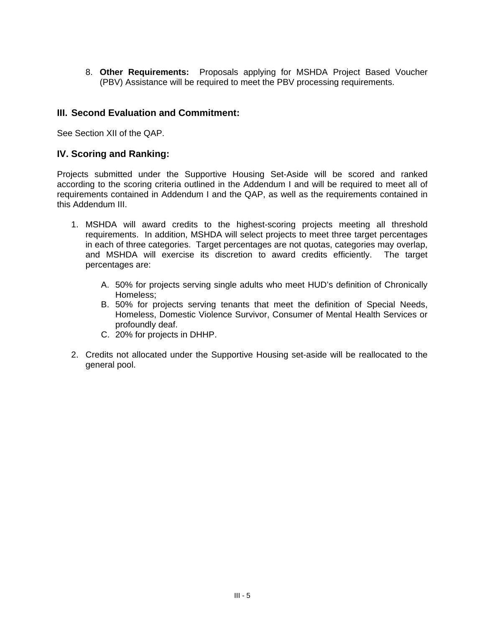8. **Other Requirements:** Proposals applying for MSHDA Project Based Voucher (PBV) Assistance will be required to meet the PBV processing requirements.

# **III. Second Evaluation and Commitment:**

See Section XII of the QAP.

# **IV. Scoring and Ranking:**

Projects submitted under the Supportive Housing Set-Aside will be scored and ranked according to the scoring criteria outlined in the Addendum I and will be required to meet all of requirements contained in Addendum I and the QAP, as well as the requirements contained in this Addendum III.

- 1. MSHDA will award credits to the highest-scoring projects meeting all threshold requirements. In addition, MSHDA will select projects to meet three target percentages in each of three categories. Target percentages are not quotas, categories may overlap, and MSHDA will exercise its discretion to award credits efficiently. The target percentages are:
	- A. 50% for projects serving single adults who meet HUD's definition of Chronically Homeless;
	- B. 50% for projects serving tenants that meet the definition of Special Needs, Homeless, Domestic Violence Survivor, Consumer of Mental Health Services or profoundly deaf.
	- C. 20% for projects in DHHP.
- 2. Credits not allocated under the Supportive Housing set-aside will be reallocated to the general pool.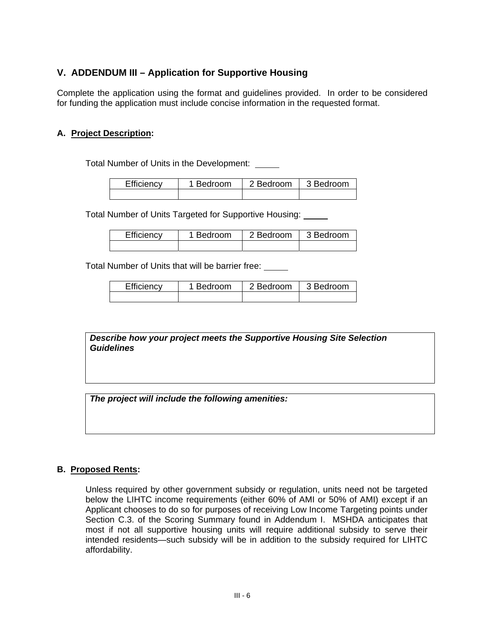# **V. ADDENDUM III – Application for Supportive Housing**

Complete the application using the format and guidelines provided. In order to be considered for funding the application must include concise information in the requested format.

# **A. Project Description:**

Total Number of Units in the Development:

| Efficiency | 1 Bedroom | 2 Bedroom | 3 Bedroom |
|------------|-----------|-----------|-----------|
|            |           |           |           |

Total Number of Units Targeted for Supportive Housing:

| Efficiency | 1 Bedroom | 2 Bedroom   3 Bedroom |  |
|------------|-----------|-----------------------|--|
|            |           |                       |  |

Total Number of Units that will be barrier free:

| Efficiency | 1 Bedroom | 2 Bedroom | 3 Bedroom |
|------------|-----------|-----------|-----------|
|            |           |           |           |

*Describe how your project meets the Supportive Housing Site Selection Guidelines*

*The project will include the following amenities:* 

#### **B. Proposed Rents:**

Unless required by other government subsidy or regulation, units need not be targeted below the LIHTC income requirements (either 60% of AMI or 50% of AMI) except if an Applicant chooses to do so for purposes of receiving Low Income Targeting points under Section C.3. of the Scoring Summary found in Addendum I. MSHDA anticipates that most if not all supportive housing units will require additional subsidy to serve their intended residents—such subsidy will be in addition to the subsidy required for LIHTC affordability.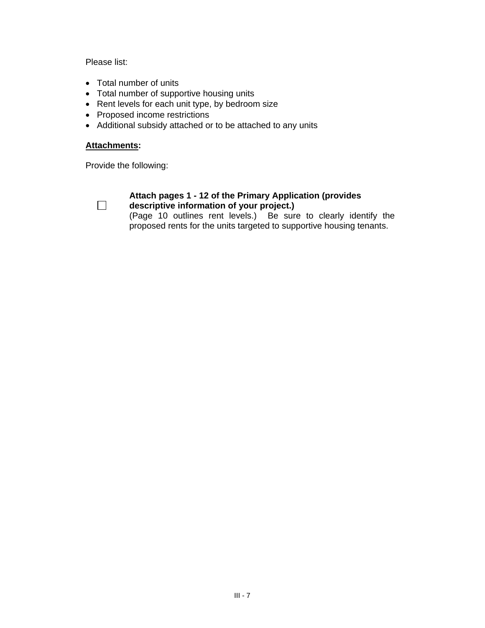Please list:

- Total number of units
- Total number of supportive housing units
- Rent levels for each unit type, by bedroom size
- Proposed income restrictions
- Additional subsidy attached or to be attached to any units

#### **Attachments:**

Provide the following:



#### **Attach pages 1 - 12 of the Primary Application (provides descriptive information of your project.)**

(Page 10 outlines rent levels.) Be sure to clearly identify the proposed rents for the units targeted to supportive housing tenants.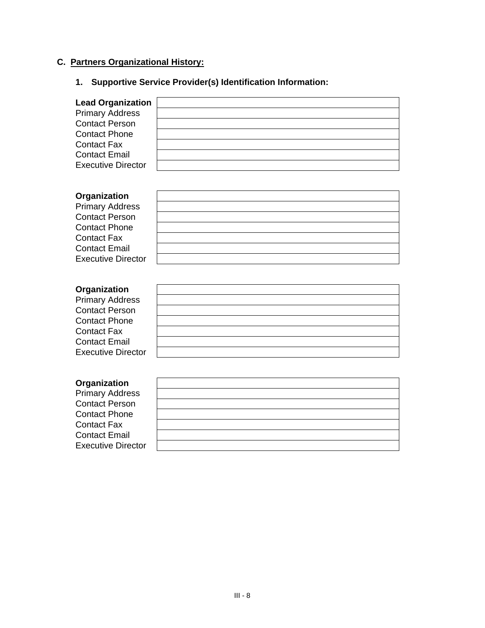# **C. Partners Organizational History:**

#### **1. Supportive Service Provider(s) Identification Information:**

**Lead Org** Primary A Contact P Contact P **Contact F** Contact E Executive

| ganization      |  |
|-----------------|--|
| Address         |  |
| Person          |  |
| Phone           |  |
| ax-             |  |
| Email           |  |
| <b>Director</b> |  |
|                 |  |

# **Organization**

Primary Address Contact Person Contact Phone Contact Fax Contact Email Executive Director

#### **Organization**

Primary Address Contact Person Contact Phone Contact Fax Contact Email Executive Director

#### **Organization**

Primary Address Contact Person Contact Phone Contact Fax Contact Email **Executive Direct** 

| s   |  |
|-----|--|
|     |  |
|     |  |
| tor |  |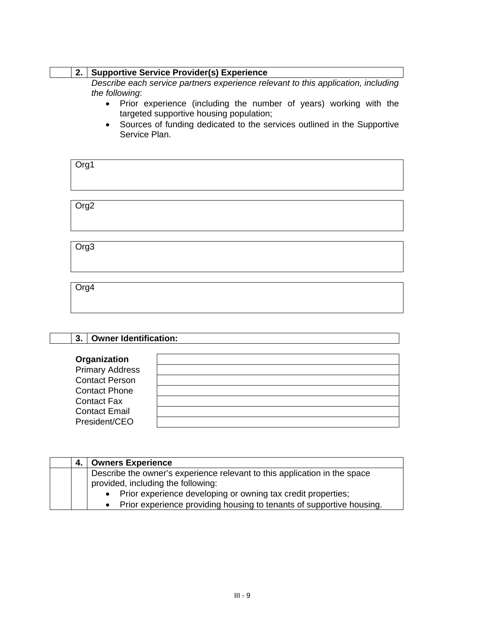# **2. Supportive Service Provider(s) Experience**

*Describe each service partners experience relevant to this application, including the following*:

- Prior experience (including the number of years) working with the targeted supportive housing population;
- Sources of funding dedicated to the services outlined in the Supportive Service Plan.

| Org1             |  |  |  |
|------------------|--|--|--|
| Org <sub>2</sub> |  |  |  |
|                  |  |  |  |

Org3

Org4

| <b>Owner Identification:</b><br>3. |  |
|------------------------------------|--|
| Organization                       |  |
| <b>Primary Address</b>             |  |
| <b>Contact Person</b>              |  |
| <b>Contact Phone</b>               |  |
| <b>Contact Fax</b>                 |  |
| <b>Contact Email</b>               |  |
| President/CEO                      |  |

| 4. | <b>Owners Experience</b>                                                                                        |
|----|-----------------------------------------------------------------------------------------------------------------|
|    | Describe the owner's experience relevant to this application in the space<br>provided, including the following: |
|    | • Prior experience developing or owning tax credit properties;                                                  |
|    | • Prior experience providing housing to tenants of supportive housing.                                          |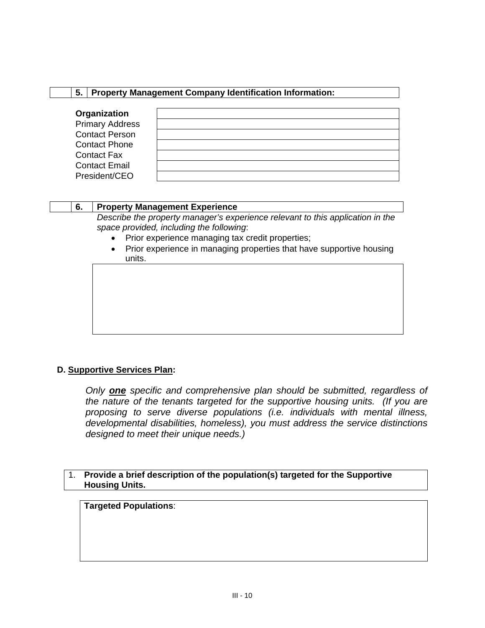#### **5. Property Management Company Identification Information:**

| Organization           |  |
|------------------------|--|
| <b>Primary Address</b> |  |
| <b>Contact Person</b>  |  |
| <b>Contact Phone</b>   |  |
| <b>Contact Fax</b>     |  |
| <b>Contact Email</b>   |  |
| President/CEO          |  |

#### **6. Property Management Experience**

*Describe the property manager's experience relevant to this application in the space provided, including the following*:

- Prior experience managing tax credit properties;
- Prior experience in managing properties that have supportive housing units.

# **D. Supportive Services Plan:**

*Only one specific and comprehensive plan should be submitted, regardless of the nature of the tenants targeted for the supportive housing units. (If you are proposing to serve diverse populations (i.e. individuals with mental illness, developmental disabilities, homeless), you must address the service distinctions designed to meet their unique needs.)*

#### 1. **Provide a brief description of the population(s) targeted for the Supportive Housing Units.**

**Targeted Populations**: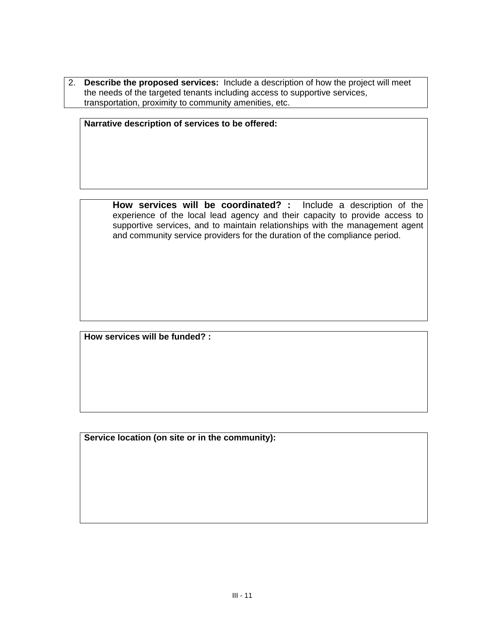2. **Describe the proposed services:** Include a description of how the project will meet the needs of the targeted tenants including access to supportive services, transportation, proximity to community amenities, etc.

**Narrative description of services to be offered:**

**How services will be coordinated? :** Include a description of the experience of the local lead agency and their capacity to provide access to supportive services, and to maintain relationships with the management agent and community service providers for the duration of the compliance period.

**How services will be funded? :**

**Service location (on site or in the community):**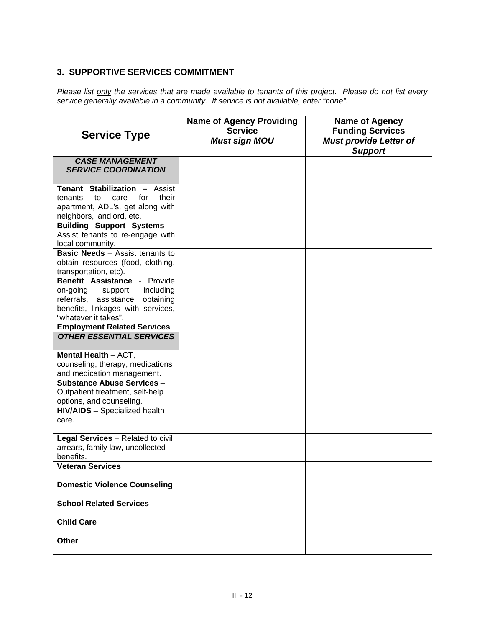# **3. SUPPORTIVE SERVICES COMMITMENT**

*Please list only the services that are made available to tenants of this project. Please do not list every service generally available in a community. If service is not available, enter "none".* 

| <b>Service Type</b>                                                                                                                                              | <b>Name of Agency Providing</b><br><b>Service</b><br><b>Must sign MOU</b> | <b>Name of Agency</b><br><b>Funding Services</b><br><b>Must provide Letter of</b><br><b>Support</b> |
|------------------------------------------------------------------------------------------------------------------------------------------------------------------|---------------------------------------------------------------------------|-----------------------------------------------------------------------------------------------------|
| <b>CASE MANAGEMENT</b><br><b>SERVICE COORDINATION</b>                                                                                                            |                                                                           |                                                                                                     |
| Tenant Stabilization - Assist<br>to<br>care<br>for<br>their<br>tenants<br>apartment, ADL's, get along with<br>neighbors, landlord, etc.                          |                                                                           |                                                                                                     |
| Building Support Systems -<br>Assist tenants to re-engage with<br>local community.                                                                               |                                                                           |                                                                                                     |
| <b>Basic Needs</b> - Assist tenants to<br>obtain resources (food, clothing,<br>transportation, etc).                                                             |                                                                           |                                                                                                     |
| Benefit Assistance - Provide<br>on-going<br>including<br>support<br>referrals, assistance obtaining<br>benefits, linkages with services,<br>"whatever it takes". |                                                                           |                                                                                                     |
| <b>Employment Related Services</b><br><b>OTHER ESSENTIAL SERVICES</b>                                                                                            |                                                                           |                                                                                                     |
| Mental Health $-$ ACT,<br>counseling, therapy, medications<br>and medication management.                                                                         |                                                                           |                                                                                                     |
| <b>Substance Abuse Services -</b><br>Outpatient treatment, self-help<br>options, and counseling.                                                                 |                                                                           |                                                                                                     |
| <b>HIV/AIDS</b> - Specialized health<br>care.                                                                                                                    |                                                                           |                                                                                                     |
| Legal Services - Related to civil<br>arrears, family law, uncollected<br>benefits.                                                                               |                                                                           |                                                                                                     |
| <b>Veteran Services</b>                                                                                                                                          |                                                                           |                                                                                                     |
| <b>Domestic Violence Counseling</b>                                                                                                                              |                                                                           |                                                                                                     |
| <b>School Related Services</b>                                                                                                                                   |                                                                           |                                                                                                     |
| <b>Child Care</b>                                                                                                                                                |                                                                           |                                                                                                     |
| Other                                                                                                                                                            |                                                                           |                                                                                                     |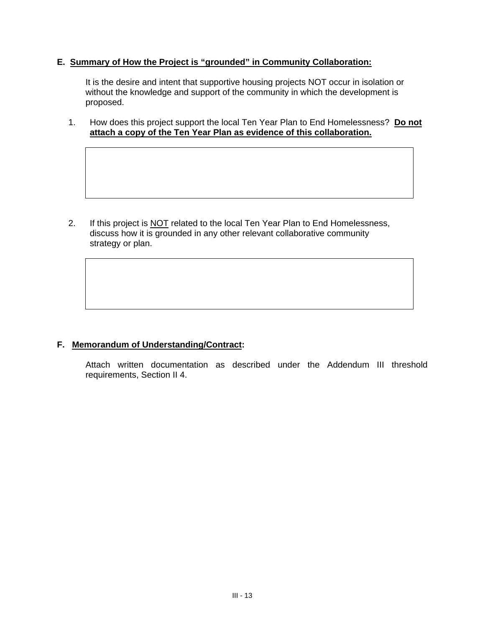# **E. Summary of How the Project is "grounded" in Community Collaboration:**

It is the desire and intent that supportive housing projects NOT occur in isolation or without the knowledge and support of the community in which the development is proposed.

1. How does this project support the local Ten Year Plan to End Homelessness? **Do not attach a copy of the Ten Year Plan as evidence of this collaboration.**

2. If this project is NOT related to the local Ten Year Plan to End Homelessness, discuss how it is grounded in any other relevant collaborative community strategy or plan.

# **F. Memorandum of Understanding/Contract:**

Attach written documentation as described under the Addendum III threshold requirements, Section II 4.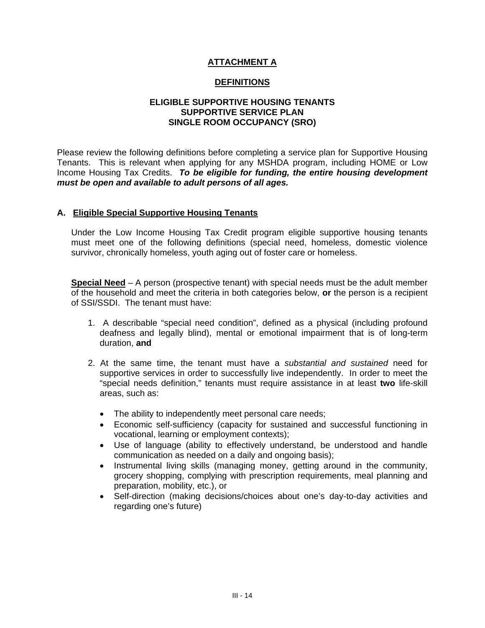# **ATTACHMENT A**

# **DEFINITIONS**

# **ELIGIBLE SUPPORTIVE HOUSING TENANTS SUPPORTIVE SERVICE PLAN SINGLE ROOM OCCUPANCY (SRO)**

Please review the following definitions before completing a service plan for Supportive Housing Tenants. This is relevant when applying for any MSHDA program, including HOME or Low Income Housing Tax Credits. *To be eligible for funding, the entire housing development must be open and available to adult persons of all ages.* 

#### **A. Eligible Special Supportive Housing Tenants**

Under the Low Income Housing Tax Credit program eligible supportive housing tenants must meet one of the following definitions (special need, homeless, domestic violence survivor, chronically homeless, youth aging out of foster care or homeless.

**Special Need** – A person (prospective tenant) with special needs must be the adult member of the household and meet the criteria in both categories below, **or** the person is a recipient of SSI/SSDI. The tenant must have:

- 1. A describable "special need condition", defined as a physical (including profound deafness and legally blind), mental or emotional impairment that is of long-term duration, **and**
- 2. At the same time, the tenant must have a *substantial and sustained* need for supportive services in order to successfully live independently. In order to meet the "special needs definition," tenants must require assistance in at least **two** life-skill areas, such as:
	- The ability to independently meet personal care needs;
	- Economic self-sufficiency (capacity for sustained and successful functioning in vocational, learning or employment contexts);
	- Use of language (ability to effectively understand, be understood and handle communication as needed on a daily and ongoing basis);
	- Instrumental living skills (managing money, getting around in the community, grocery shopping, complying with prescription requirements, meal planning and preparation, mobility, etc.), or
	- Self-direction (making decisions/choices about one's day-to-day activities and regarding one's future)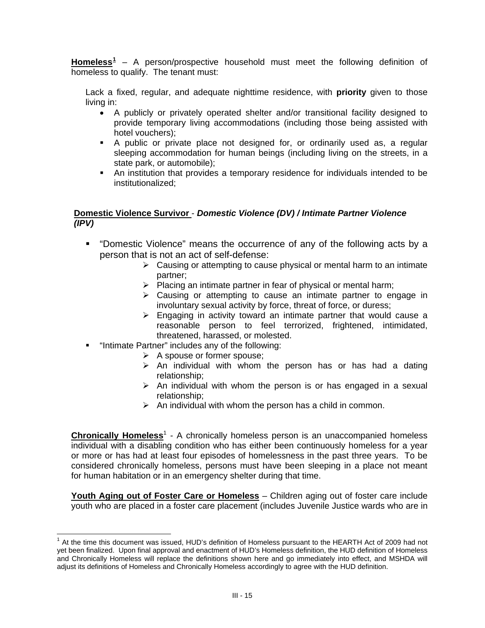**Homeless[1](#page-14-0)** – A person/prospective household must meet the following definition of homeless to qualify. The tenant must:

Lack a fixed, regular, and adequate nighttime residence, with **priority** given to those living in:

- A publicly or privately operated shelter and/or transitional facility designed to provide temporary living accommodations (including those being assisted with hotel vouchers);
- A public or private place not designed for, or ordinarily used as, a regular sleeping accommodation for human beings (including living on the streets, in a state park, or automobile);
- An institution that provides a temporary residence for individuals intended to be institutionalized;

#### **Domestic Violence Survivor** - *Domestic Violence (DV) / Intimate Partner Violence (IPV)*

- "Domestic Violence" means the occurrence of any of the following acts by a person that is not an act of self-defense:
	- $\triangleright$  Causing or attempting to cause physical or mental harm to an intimate partner;
	- $\triangleright$  Placing an intimate partner in fear of physical or mental harm;
	- $\triangleright$  Causing or attempting to cause an intimate partner to engage in involuntary sexual activity by force, threat of force, or duress;
	- $\triangleright$  Engaging in activity toward an intimate partner that would cause a reasonable person to feel terrorized, frightened, intimidated, threatened, harassed, or molested.
- **E** "Intimate Partner" includes any of the following:

-

- $\triangleright$  A spouse or former spouse;
- $\triangleright$  An individual with whom the person has or has had a dating relationship;
- $\triangleright$  An individual with whom the person is or has engaged in a sexual relationship;
- $\triangleright$  An individual with whom the person has a child in common.

**Chronically Homeless**<sup>1</sup> - A chronically homeless person is an unaccompanied homeless individual with a disabling condition who has either been continuously homeless for a year or more or has had at least four episodes of homelessness in the past three years. To be considered chronically homeless, persons must have been sleeping in a place not meant for human habitation or in an emergency shelter during that time.

**Youth Aging out of Foster Care or Homeless** – Children aging out of foster care include youth who are placed in a foster care placement (includes Juvenile Justice wards who are in

<span id="page-14-0"></span><sup>&</sup>lt;sup>1</sup> At the time this document was issued, HUD's definition of Homeless pursuant to the HEARTH Act of 2009 had not yet been finalized. Upon final approval and enactment of HUD's Homeless definition, the HUD definition of Homeless and Chronically Homeless will replace the definitions shown here and go immediately into effect, and MSHDA will adjust its definitions of Homeless and Chronically Homeless accordingly to agree with the HUD definition.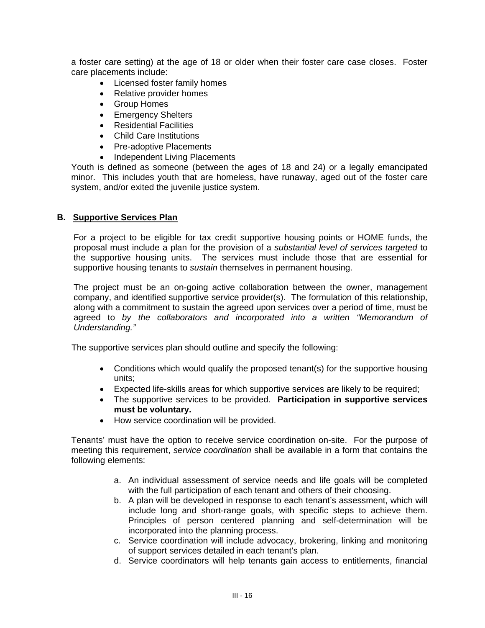a foster care setting) at the age of 18 or older when their foster care case closes. Foster care placements include:

- Licensed foster family homes
- Relative provider homes
- Group Homes
- Emergency Shelters
- Residential Facilities
- Child Care Institutions
- Pre-adoptive Placements
- Independent Living Placements

Youth is defined as someone (between the ages of 18 and 24) or a legally emancipated minor. This includes youth that are homeless, have runaway, aged out of the foster care system, and/or exited the juvenile justice system.

#### **B. Supportive Services Plan**

For a project to be eligible for tax credit supportive housing points or HOME funds, the proposal must include a plan for the provision of a *substantial level of services targeted* to the supportive housing units. The services must include those that are essential for supportive housing tenants to *sustain* themselves in permanent housing.

The project must be an on-going active collaboration between the owner, management company, and identified supportive service provider(s). The formulation of this relationship, along with a commitment to sustain the agreed upon services over a period of time, must be agreed to *by the collaborators and incorporated into a written "Memorandum of Understanding."* 

The supportive services plan should outline and specify the following:

- Conditions which would qualify the proposed tenant(s) for the supportive housing units;
- Expected life-skills areas for which supportive services are likely to be required;
- The supportive services to be provided. **Participation in supportive services must be voluntary.**
- How service coordination will be provided.

Tenants' must have the option to receive service coordination on-site. For the purpose of meeting this requirement, *service coordination* shall be available in a form that contains the following elements:

- a. An individual assessment of service needs and life goals will be completed with the full participation of each tenant and others of their choosing.
- b. A plan will be developed in response to each tenant's assessment, which will include long and short-range goals, with specific steps to achieve them. Principles of person centered planning and self-determination will be incorporated into the planning process.
- c. Service coordination will include advocacy, brokering, linking and monitoring of support services detailed in each tenant's plan.
- d. Service coordinators will help tenants gain access to entitlements, financial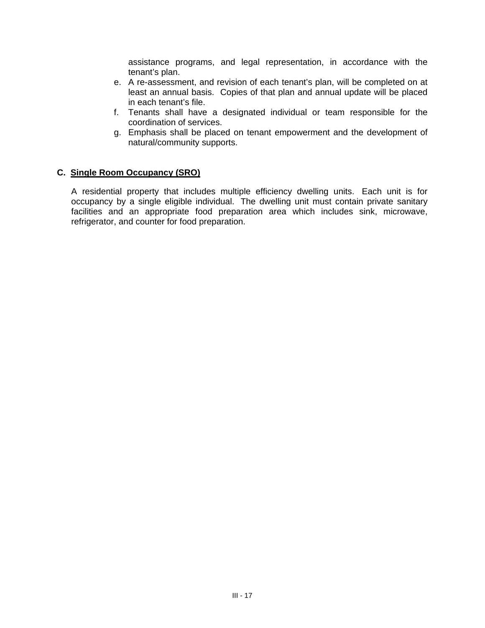assistance programs, and legal representation, in accordance with the tenant's plan.

- e. A re-assessment, and revision of each tenant's plan, will be completed on at least an annual basis. Copies of that plan and annual update will be placed in each tenant's file.
- f. Tenants shall have a designated individual or team responsible for the coordination of services.
- g. Emphasis shall be placed on tenant empowerment and the development of natural/community supports.

# **C. Single Room Occupancy (SRO)**

A residential property that includes multiple efficiency dwelling units. Each unit is for occupancy by a single eligible individual. The dwelling unit must contain private sanitary facilities and an appropriate food preparation area which includes sink, microwave, refrigerator, and counter for food preparation.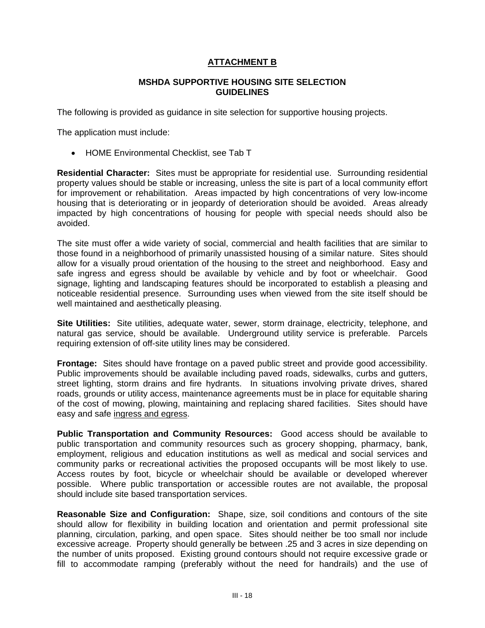# **ATTACHMENT B**

#### **MSHDA SUPPORTIVE HOUSING SITE SELECTION GUIDELINES**

The following is provided as guidance in site selection for supportive housing projects.

The application must include:

• HOME Environmental Checklist, see Tab T

**Residential Character:** Sites must be appropriate for residential use. Surrounding residential property values should be stable or increasing, unless the site is part of a local community effort for improvement or rehabilitation. Areas impacted by high concentrations of very low-income housing that is deteriorating or in jeopardy of deterioration should be avoided. Areas already impacted by high concentrations of housing for people with special needs should also be avoided.

The site must offer a wide variety of social, commercial and health facilities that are similar to those found in a neighborhood of primarily unassisted housing of a similar nature. Sites should allow for a visually proud orientation of the housing to the street and neighborhood. Easy and safe ingress and egress should be available by vehicle and by foot or wheelchair. Good signage, lighting and landscaping features should be incorporated to establish a pleasing and noticeable residential presence. Surrounding uses when viewed from the site itself should be well maintained and aesthetically pleasing.

**Site Utilities:** Site utilities, adequate water, sewer, storm drainage, electricity, telephone, and natural gas service, should be available. Underground utility service is preferable. Parcels requiring extension of off-site utility lines may be considered.

**Frontage:** Sites should have frontage on a paved public street and provide good accessibility. Public improvements should be available including paved roads, sidewalks, curbs and gutters, street lighting, storm drains and fire hydrants. In situations involving private drives, shared roads, grounds or utility access, maintenance agreements must be in place for equitable sharing of the cost of mowing, plowing, maintaining and replacing shared facilities. Sites should have easy and safe ingress and egress.

**Public Transportation and Community Resources:** Good access should be available to public transportation and community resources such as grocery shopping, pharmacy, bank, employment, religious and education institutions as well as medical and social services and community parks or recreational activities the proposed occupants will be most likely to use. Access routes by foot, bicycle or wheelchair should be available or developed wherever possible. Where public transportation or accessible routes are not available, the proposal should include site based transportation services.

**Reasonable Size and Configuration:** Shape, size, soil conditions and contours of the site should allow for flexibility in building location and orientation and permit professional site planning, circulation, parking, and open space. Sites should neither be too small nor include excessive acreage. Property should generally be between .25 and 3 acres in size depending on the number of units proposed. Existing ground contours should not require excessive grade or fill to accommodate ramping (preferably without the need for handrails) and the use of